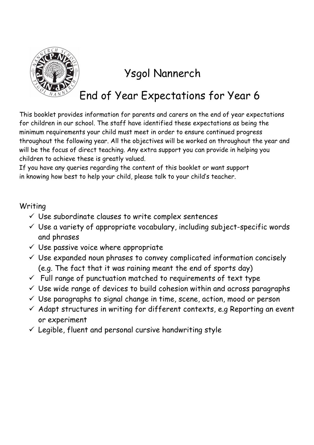

## Ysgol Nannerch

## End of Year Expectations for Year 6

This booklet provides information for parents and carers on the end of year expectations for children in our school. The staff have identified these expectations as being the minimum requirements your child must meet in order to ensure continued progress throughout the following year. All the objectives will be worked on throughout the year and will be the focus of direct teaching. Any extra support you can provide in helping you children to achieve these is greatly valued.

If you have any queries regarding the content of this booklet or want support in knowing how best to help your child, please talk to your child's teacher.

## Writing

- $\checkmark$  Use subordinate clauses to write complex sentences
- $\checkmark$  Use a variety of appropriate vocabulary, including subject-specific words and phrases
- $\checkmark$  Use passive voice where appropriate
- $\checkmark$  Use expanded noun phrases to convey complicated information concisely (e.g. The fact that it was raining meant the end of sports day)
- $\checkmark$  Full range of punctuation matched to requirements of text type
- $\checkmark$  Use wide range of devices to build cohesion within and across paragraphs
- $\checkmark$  Use paragraphs to signal change in time, scene, action, mood or person
- $\checkmark$  Adapt structures in writing for different contexts, e.g Reporting an event or experiment
- $\checkmark$  Legible, fluent and personal cursive handwriting style